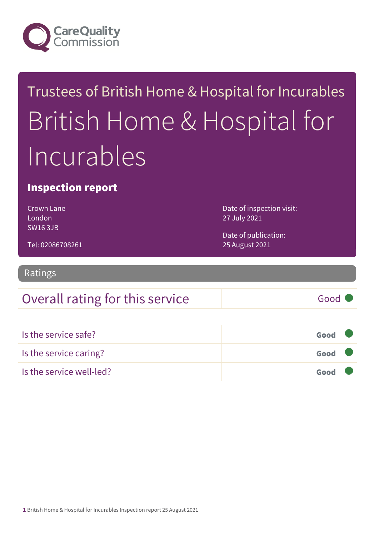

# Trustees of British Home & Hospital for Incurables British Home & Hospital for Incurables

### Inspection report

Crown Lane London SW16 3JB

Date of inspection visit: 27 July 2021

Date of publication: 25 August 2021

Tel: 02086708261

Ratings

### Overall rating for this service Fig. 600 Good

| Is the service safe?     | Good |  |
|--------------------------|------|--|
| Is the service caring?   | Good |  |
| Is the service well-led? | Good |  |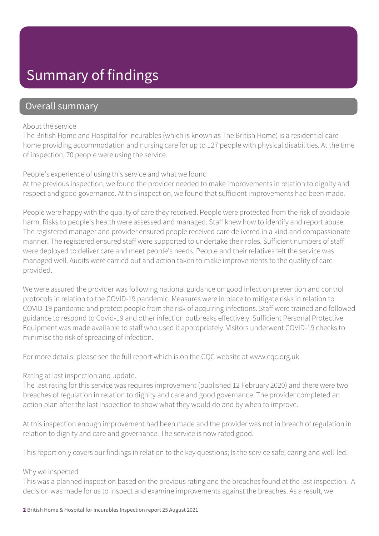## Summary of findings

### Overall summary

#### About the service

The British Home and Hospital for Incurables (which is known as The British Home) is a residential care home providing accommodation and nursing care for up to 127 people with physical disabilities. At the time of inspection, 70 people were using the service.

#### People's experience of using this service and what we found

At the previous inspection, we found the provider needed to make improvements in relation to dignity and respect and good governance. At this inspection, we found that sufficient improvements had been made.

People were happy with the quality of care they received. People were protected from the risk of avoidable harm. Risks to people's health were assessed and managed. Staff knew how to identify and report abuse. The registered manager and provider ensured people received care delivered in a kind and compassionate manner. The registered ensured staff were supported to undertake their roles. Sufficient numbers of staff were deployed to deliver care and meet people's needs. People and their relatives felt the service was managed well. Audits were carried out and action taken to make improvements to the quality of care provided.

We were assured the provider was following national guidance on good infection prevention and control protocols in relation to the COVID-19 pandemic. Measures were in place to mitigate risks in relation to COVID-19 pandemic and protect people from the risk of acquiring infections. Staff were trained and followed guidance to respond to Covid-19 and other infection outbreaks effectively. Sufficient Personal Protective Equipment was made available to staff who used it appropriately. Visitors underwent COVID-19 checks to minimise the risk of spreading of infection.

For more details, please see the full report which is on the CQC website at www.cqc.org.uk

#### Rating at last inspection and update.

The last rating for this service was requires improvement (published 12 February 2020) and there were two breaches of regulation in relation to dignity and care and good governance. The provider completed an action plan after the last inspection to show what they would do and by when to improve.

At this inspection enough improvement had been made and the provider was not in breach of regulation in relation to dignity and care and governance. The service is now rated good.

This report only covers our findings in relation to the key questions; Is the service safe, caring and well-led.

#### Why we inspected

This was a planned inspection based on the previous rating and the breaches found at the last inspection. A decision was made for us to inspect and examine improvements against the breaches. As a result, we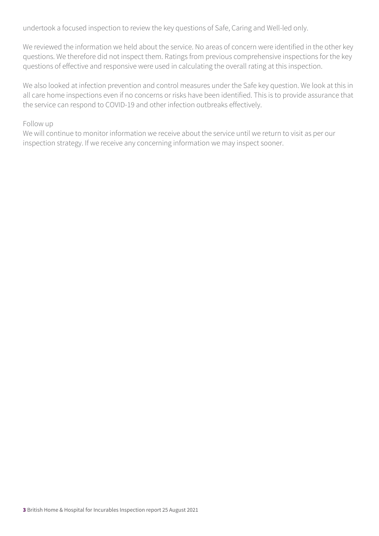undertook a focused inspection to review the key questions of Safe, Caring and Well-led only.

We reviewed the information we held about the service. No areas of concern were identified in the other key questions. We therefore did not inspect them. Ratings from previous comprehensive inspections for the key questions of effective and responsive were used in calculating the overall rating at this inspection.

We also looked at infection prevention and control measures under the Safe key question. We look at this in all care home inspections even if no concerns or risks have been identified. This is to provide assurance that the service can respond to COVID-19 and other infection outbreaks effectively.

#### Follow up

We will continue to monitor information we receive about the service until we return to visit as per our inspection strategy. If we receive any concerning information we may inspect sooner.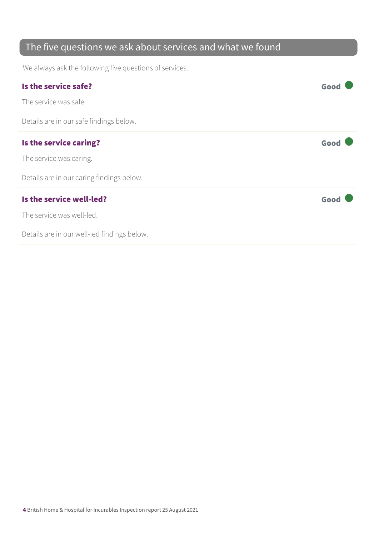### The five questions we ask about services and what we found

We always ask the following five questions of services.

| Is the service safe?                        | Goo  |
|---------------------------------------------|------|
| The service was safe.                       |      |
| Details are in our safe findings below.     |      |
| Is the service caring?                      | Good |
| The service was caring.                     |      |
| Details are in our caring findings below.   |      |
| Is the service well-led?                    | Good |
| The service was well-led.                   |      |
| Details are in our well-led findings below. |      |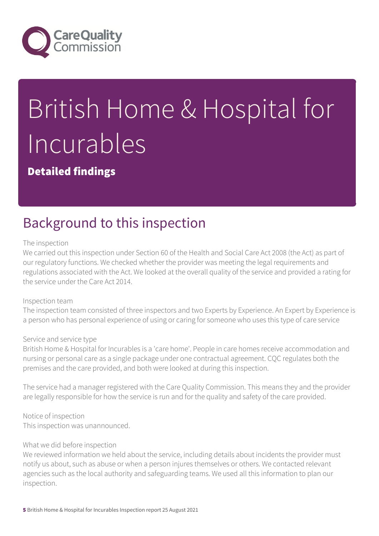

# British Home & Hospital for Incurables

Detailed findings

# Background to this inspection

#### The inspection

We carried out this inspection under Section 60 of the Health and Social Care Act 2008 (the Act) as part of our regulatory functions. We checked whether the provider was meeting the legal requirements and regulations associated with the Act. We looked at the overall quality of the service and provided a rating for the service under the Care Act 2014.

#### Inspection team

The inspection team consisted of three inspectors and two Experts by Experience. An Expert by Experience is a person who has personal experience of using or caring for someone who uses this type of care service

#### Service and service type

British Home & Hospital for Incurables is a 'care home'. People in care homes receive accommodation and nursing or personal care as a single package under one contractual agreement. CQC regulates both the premises and the care provided, and both were looked at during this inspection.

The service had a manager registered with the Care Quality Commission. This means they and the provider are legally responsible for how the service is run and for the quality and safety of the care provided.

Notice of inspection This inspection was unannounced.

#### What we did before inspection

We reviewed information we held about the service, including details about incidents the provider must notify us about, such as abuse or when a person injures themselves or others. We contacted relevant agencies such as the local authority and safeguarding teams. We used all this information to plan our inspection.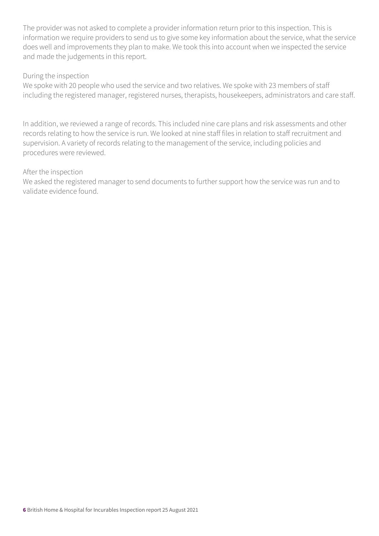The provider was not asked to complete a provider information return prior to this inspection. This is information we require providers to send us to give some key information about the service, what the service does well and improvements they plan to make. We took this into account when we inspected the service and made the judgements in this report.

#### During the inspection

We spoke with 20 people who used the service and two relatives. We spoke with 23 members of staff including the registered manager, registered nurses, therapists, housekeepers, administrators and care staff.

In addition, we reviewed a range of records. This included nine care plans and risk assessments and other records relating to how the service is run. We looked at nine staff files in relation to staff recruitment and supervision. A variety of records relating to the management of the service, including policies and procedures were reviewed.

#### After the inspection

We asked the registered manager to send documents to further support how the service was run and to validate evidence found.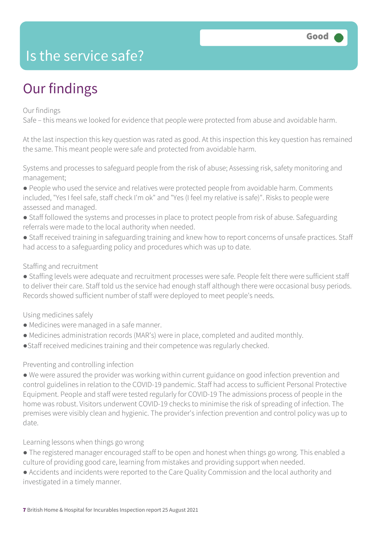### Is the service safe?

# Our findings

#### Our findings

Safe – this means we looked for evidence that people were protected from abuse and avoidable harm.

At the last inspection this key question was rated as good. At this inspection this key question has remained the same. This meant people were safe and protected from avoidable harm.

Systems and processes to safeguard people from the risk of abuse; Assessing risk, safety monitoring and management;

- People who used the service and relatives were protected people from avoidable harm. Comments included, "Yes I feel safe, staff check I'm ok" and "Yes (I feel my relative is safe)". Risks to people were assessed and managed.
- Staff followed the systems and processes in place to protect people from risk of abuse. Safeguarding referrals were made to the local authority when needed.
- Staff received training in safeguarding training and knew how to report concerns of unsafe practices. Staff had access to a safeguarding policy and procedures which was up to date.

#### Staffing and recruitment

● Staffing levels were adequate and recruitment processes were safe. People felt there were sufficient staff to deliver their care. Staff told us the service had enough staff although there were occasional busy periods. Records showed sufficient number of staff were deployed to meet people's needs.

Using medicines safely

- Medicines were managed in a safe manner.
- Medicines administration records (MAR's) were in place, completed and audited monthly.
- ●Staff received medicines training and their competence was regularly checked.

#### Preventing and controlling infection

● We were assured the provider was working within current guidance on good infection prevention and control guidelines in relation to the COVID-19 pandemic. Staff had access to sufficient Personal Protective Equipment. People and staff were tested regularly for COVID-19 The admissions process of people in the home was robust. Visitors underwent COVID-19 checks to minimise the risk of spreading of infection. The premises were visibly clean and hygienic. The provider's infection prevention and control policy was up to date.

Learning lessons when things go wrong

- The registered manager encouraged staff to be open and honest when things go wrong. This enabled a culture of providing good care, learning from mistakes and providing support when needed.
- Accidents and incidents were reported to the Care Quality Commission and the local authority and investigated in a timely manner.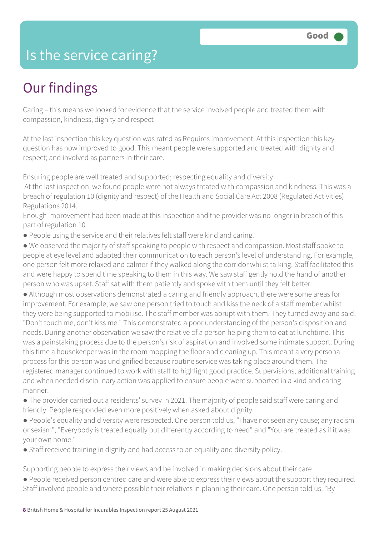### Is the service caring?

## Our findings

Caring – this means we looked for evidence that the service involved people and treated them with compassion, kindness, dignity and respect

At the last inspection this key question was rated as Requires improvement. At this inspection this key question has now improved to good. This meant people were supported and treated with dignity and respect; and involved as partners in their care.

Ensuring people are well treated and supported; respecting equality and diversity At the last inspection, we found people were not always treated with compassion and kindness. This was a breach of regulation 10 (dignity and respect) of the Health and Social Care Act 2008 (Regulated Activities) Regulations 2014.

Enough improvement had been made at this inspection and the provider was no longer in breach of this part of regulation 10.

- People using the service and their relatives felt staff were kind and caring.
- We observed the majority of staff speaking to people with respect and compassion. Most staff spoke to people at eye level and adapted their communication to each person's level of understanding. For example, one person felt more relaxed and calmer if they walked along the corridor whilst talking. Staff facilitated this and were happy to spend time speaking to them in this way. We saw staff gently hold the hand of another person who was upset. Staff sat with them patiently and spoke with them until they felt better.
- Although most observations demonstrated a caring and friendly approach, there were some areas for improvement. For example, we saw one person tried to touch and kiss the neck of a staff member whilst they were being supported to mobilise. The staff member was abrupt with them. They turned away and said, "Don't touch me, don't kiss me." This demonstrated a poor understanding of the person's disposition and needs. During another observation we saw the relative of a person helping them to eat at lunchtime. This was a painstaking process due to the person's risk of aspiration and involved some intimate support. During this time a housekeeper was in the room mopping the floor and cleaning up. This meant a very personal process for this person was undignified because routine service was taking place around them. The registered manager continued to work with staff to highlight good practice. Supervisions, additional training and when needed disciplinary action was applied to ensure people were supported in a kind and caring manner.
- The provider carried out a residents' survey in 2021. The majority of people said staff were caring and friendly. People responded even more positively when asked about dignity.
- People's equality and diversity were respected. One person told us, "I have not seen any cause; any racism or sexism", "Everybody is treated equally but differently according to need" and "You are treated as if it was your own home."
- Staff received training in dignity and had access to an equality and diversity policy.

Supporting people to express their views and be involved in making decisions about their care ● People received person centred care and were able to express their views about the support they required.

Staff involved people and where possible their relatives in planning their care. One person told us, "By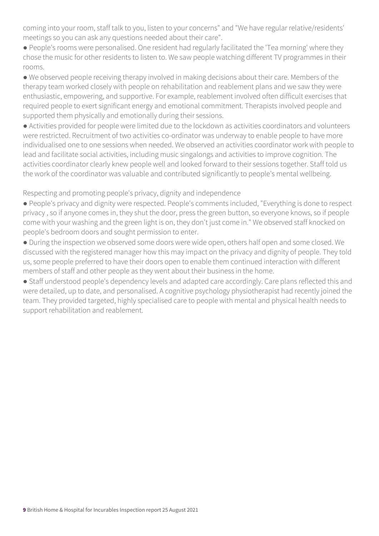coming into your room, staff talk to you, listen to your concerns" and "We have regular relative/residents' meetings so you can ask any questions needed about their care".

● People's rooms were personalised. One resident had regularly facilitated the 'Tea morning' where they chose the music for other residents to listen to. We saw people watching different TV programmes in their rooms.

● We observed people receiving therapy involved in making decisions about their care. Members of the therapy team worked closely with people on rehabilitation and reablement plans and we saw they were enthusiastic, empowering, and supportive. For example, reablement involved often difficult exercises that required people to exert significant energy and emotional commitment. Therapists involved people and supported them physically and emotionally during their sessions.

● Activities provided for people were limited due to the lockdown as activities coordinators and volunteers were restricted. Recruitment of two activities co-ordinator was underway to enable people to have more individualised one to one sessions when needed. We observed an activities coordinator work with people to lead and facilitate social activities, including music singalongs and activities to improve cognition. The activities coordinator clearly knew people well and looked forward to their sessions together. Staff told us the work of the coordinator was valuable and contributed significantly to people's mental wellbeing.

Respecting and promoting people's privacy, dignity and independence

● People's privacy and dignity were respected. People's comments included, "Everything is done to respect privacy , so if anyone comes in, they shut the door, press the green button, so everyone knows, so if people come with your washing and the green light is on, they don't just come in." We observed staff knocked on people's bedroom doors and sought permission to enter.

● During the inspection we observed some doors were wide open, others half open and some closed. We discussed with the registered manager how this may impact on the privacy and dignity of people. They told us, some people preferred to have their doors open to enable them continued interaction with different members of staff and other people as they went about their business in the home.

● Staff understood people's dependency levels and adapted care accordingly. Care plans reflected this and were detailed, up to date, and personalised. A cognitive psychology physiotherapist had recently joined the team. They provided targeted, highly specialised care to people with mental and physical health needs to support rehabilitation and reablement.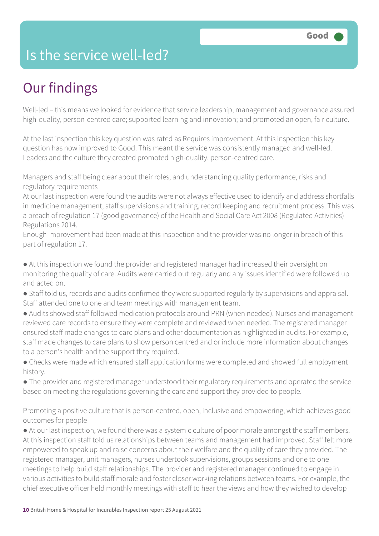### Is the service well-led?

# Our findings

Well-led – this means we looked for evidence that service leadership, management and governance assured high-quality, person-centred care; supported learning and innovation; and promoted an open, fair culture.

At the last inspection this key question was rated as Requires improvement. At this inspection this key question has now improved to Good. This meant the service was consistently managed and well-led. Leaders and the culture they created promoted high-quality, person-centred care.

Managers and staff being clear about their roles, and understanding quality performance, risks and regulatory requirements

At our last inspection were found the audits were not always effective used to identify and address shortfalls in medicine management, staff supervisions and training, record keeping and recruitment process. This was a breach of regulation 17 (good governance) of the Health and Social Care Act 2008 (Regulated Activities) Regulations 2014.

Enough improvement had been made at this inspection and the provider was no longer in breach of this part of regulation 17.

● At this inspection we found the provider and registered manager had increased their oversight on monitoring the quality of care. Audits were carried out regularly and any issues identified were followed up and acted on.

- Staff told us, records and audits confirmed they were supported regularly by supervisions and appraisal. Staff attended one to one and team meetings with management team.
- Audits showed staff followed medication protocols around PRN (when needed). Nurses and management reviewed care records to ensure they were complete and reviewed when needed. The registered manager ensured staff made changes to care plans and other documentation as highlighted in audits. For example, staff made changes to care plans to show person centred and or include more information about changes to a person's health and the support they required.
- Checks were made which ensured staff application forms were completed and showed full employment history.
- The provider and registered manager understood their regulatory requirements and operated the service based on meeting the regulations governing the care and support they provided to people.

Promoting a positive culture that is person-centred, open, inclusive and empowering, which achieves good outcomes for people

• At our last inspection, we found there was a systemic culture of poor morale amongst the staff members. At this inspection staff told us relationships between teams and management had improved. Staff felt more empowered to speak up and raise concerns about their welfare and the quality of care they provided. The registered manager, unit managers, nurses undertook supervisions, groups sessions and one to one meetings to help build staff relationships. The provider and registered manager continued to engage in various activities to build staff morale and foster closer working relations between teams. For example, the chief executive officer held monthly meetings with staff to hear the views and how they wished to develop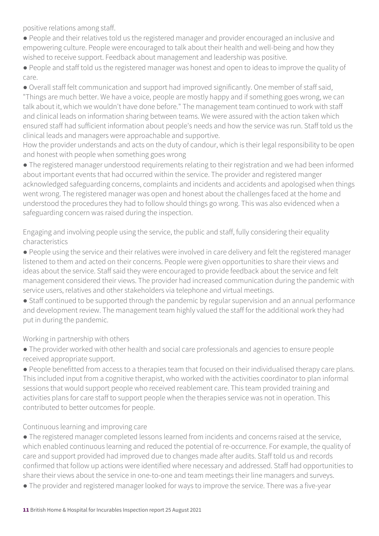positive relations among staff.

● People and their relatives told us the registered manager and provider encouraged an inclusive and empowering culture. People were encouraged to talk about their health and well-being and how they wished to receive support. Feedback about management and leadership was positive.

● People and staff told us the registered manager was honest and open to ideas to improve the quality of care.

● Overall staff felt communication and support had improved significantly. One member of staff said, "Things are much better. We have a voice, people are mostly happy and if something goes wrong, we can talk about it, which we wouldn't have done before." The management team continued to work with staff and clinical leads on information sharing between teams. We were assured with the action taken which ensured staff had sufficient information about people's needs and how the service was run. Staff told us the clinical leads and managers were approachable and supportive.

How the provider understands and acts on the duty of candour, which is their legal responsibility to be open and honest with people when something goes wrong

● The registered manager understood requirements relating to their registration and we had been informed about important events that had occurred within the service. The provider and registered manger acknowledged safeguarding concerns, complaints and incidents and accidents and apologised when things went wrong. The registered manager was open and honest about the challenges faced at the home and understood the procedures they had to follow should things go wrong. This was also evidenced when a safeguarding concern was raised during the inspection.

Engaging and involving people using the service, the public and staff, fully considering their equality characteristics

● People using the service and their relatives were involved in care delivery and felt the registered manager listened to them and acted on their concerns. People were given opportunities to share their views and ideas about the service. Staff said they were encouraged to provide feedback about the service and felt management considered their views. The provider had increased communication during the pandemic with service users, relatives and other stakeholders via telephone and virtual meetings.

● Staff continued to be supported through the pandemic by regular supervision and an annual performance and development review. The management team highly valued the staff for the additional work they had put in during the pandemic.

Working in partnership with others

● The provider worked with other health and social care professionals and agencies to ensure people received appropriate support.

● People benefitted from access to a therapies team that focused on their individualised therapy care plans. This included input from a cognitive therapist, who worked with the activities coordinator to plan informal sessions that would support people who received reablement care. This team provided training and activities plans for care staff to support people when the therapies service was not in operation. This contributed to better outcomes for people.

Continuous learning and improving care

● The registered manager completed lessons learned from incidents and concerns raised at the service, which enabled continuous learning and reduced the potential of re-occurrence. For example, the quality of care and support provided had improved due to changes made after audits. Staff told us and records confirmed that follow up actions were identified where necessary and addressed. Staff had opportunities to share their views about the service in one-to-one and team meetings their line managers and surveys.

● The provider and registered manager looked for ways to improve the service. There was a five-year